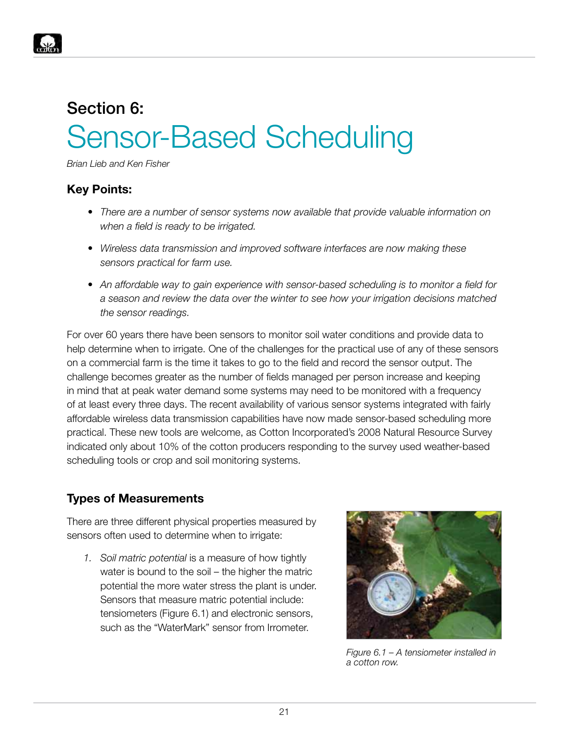

# Section 6: Sensor-Based Scheduling

*Brian Lieb and Ken Fisher*

#### **Key Points:**

- *• There are a number of sensor systems now available that provide valuable information on when a field is ready to be irrigated.*
- *• Wireless data transmission and improved software interfaces are now making these sensors practical for farm use.*
- *• An affordable way to gain experience with sensor-based scheduling is to monitor a field for a season and review the data over the winter to see how your irrigation decisions matched the sensor readings.*

For over 60 years there have been sensors to monitor soil water conditions and provide data to help determine when to irrigate. One of the challenges for the practical use of any of these sensors on a commercial farm is the time it takes to go to the field and record the sensor output. The challenge becomes greater as the number of fields managed per person increase and keeping in mind that at peak water demand some systems may need to be monitored with a frequency of at least every three days. The recent availability of various sensor systems integrated with fairly affordable wireless data transmission capabilities have now made sensor-based scheduling more practical. These new tools are welcome, as Cotton Incorporated's 2008 Natural Resource Survey indicated only about 10% of the cotton producers responding to the survey used weather-based scheduling tools or crop and soil monitoring systems.

# **Types of Measurements**

There are three different physical properties measured by sensors often used to determine when to irrigate:

*1. Soil matric potential* is a measure of how tightly water is bound to the soil – the higher the matric potential the more water stress the plant is under. Sensors that measure matric potential include: tensiometers (Figure 6.1) and electronic sensors, such as the "WaterMark" sensor from Irrometer.



*Figure 6.1 – A tensiometer installed in a cotton row.*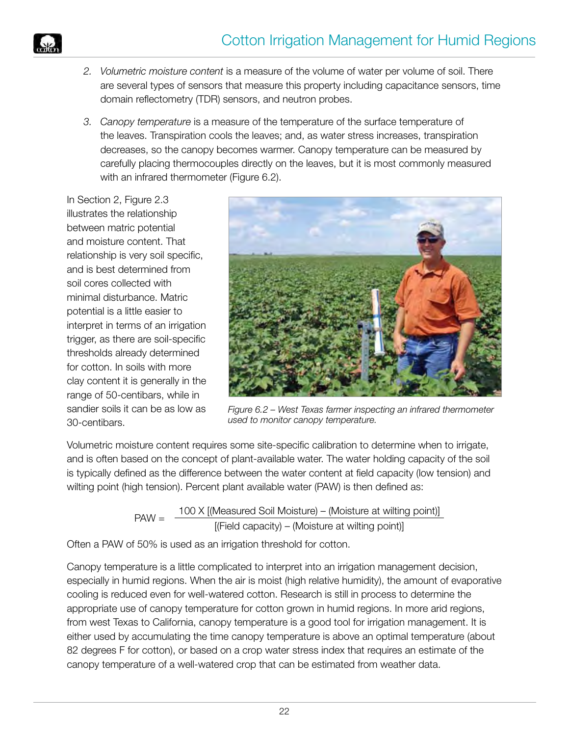

- *2. Volumetric moisture content* is a measure of the volume of water per volume of soil. There are several types of sensors that measure this property including capacitance sensors, time domain reflectometry (TDR) sensors, and neutron probes.
- *3. Canopy temperature* is a measure of the temperature of the surface temperature of the leaves. Transpiration cools the leaves; and, as water stress increases, transpiration decreases, so the canopy becomes warmer. Canopy temperature can be measured by carefully placing thermocouples directly on the leaves, but it is most commonly measured with an infrared thermometer (Figure 6.2).

In Section 2, Figure 2.3 illustrates the relationship between matric potential and moisture content. That relationship is very soil specific, and is best determined from soil cores collected with minimal disturbance. Matric potential is a little easier to interpret in terms of an irrigation trigger, as there are soil-specific thresholds already determined for cotton. In soils with more clay content it is generally in the range of 50-centibars, while in sandier soils it can be as low as 30-centibars.



*Figure 6.2 – West Texas farmer inspecting an infrared thermometer used to monitor canopy temperature.*

Volumetric moisture content requires some site-specific calibration to determine when to irrigate, and is often based on the concept of plant-available water. The water holding capacity of the soil is typically defined as the difference between the water content at field capacity (low tension) and wilting point (high tension). Percent plant available water (PAW) is then defined as:

> PAW =  $\frac{100 \times [(\text{Measured Soil Moisture}) - (\text{Moisture at willing point})]}{\sqrt{2}}$  $[(Field capacity) - (Moisture at willing point)]$

Often a PAW of 50% is used as an irrigation threshold for cotton.

Canopy temperature is a little complicated to interpret into an irrigation management decision, especially in humid regions. When the air is moist (high relative humidity), the amount of evaporative cooling is reduced even for well-watered cotton. Research is still in process to determine the appropriate use of canopy temperature for cotton grown in humid regions. In more arid regions, from west Texas to California, canopy temperature is a good tool for irrigation management. It is either used by accumulating the time canopy temperature is above an optimal temperature (about 82 degrees F for cotton), or based on a crop water stress index that requires an estimate of the canopy temperature of a well-watered crop that can be estimated from weather data.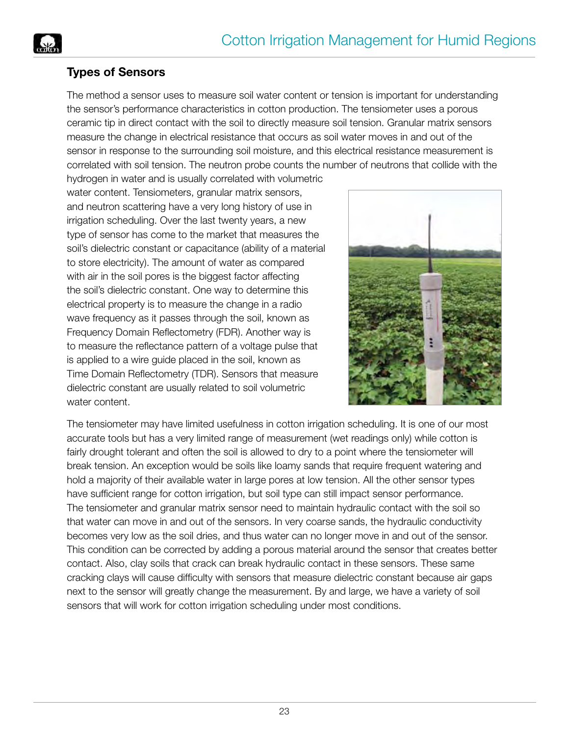

## **Types of Sensors**

The method a sensor uses to measure soil water content or tension is important for understanding the sensor's performance characteristics in cotton production. The tensiometer uses a porous ceramic tip in direct contact with the soil to directly measure soil tension. Granular matrix sensors measure the change in electrical resistance that occurs as soil water moves in and out of the sensor in response to the surrounding soil moisture, and this electrical resistance measurement is correlated with soil tension. The neutron probe counts the number of neutrons that collide with the

hydrogen in water and is usually correlated with volumetric water content. Tensiometers, granular matrix sensors, and neutron scattering have a very long history of use in irrigation scheduling. Over the last twenty years, a new type of sensor has come to the market that measures the soil's dielectric constant or capacitance (ability of a material to store electricity). The amount of water as compared with air in the soil pores is the biggest factor affecting the soil's dielectric constant. One way to determine this electrical property is to measure the change in a radio wave frequency as it passes through the soil, known as Frequency Domain Reflectometry (FDR). Another way is to measure the reflectance pattern of a voltage pulse that is applied to a wire guide placed in the soil, known as Time Domain Reflectometry (TDR). Sensors that measure dielectric constant are usually related to soil volumetric water content.



The tensiometer may have limited usefulness in cotton irrigation scheduling. It is one of our most accurate tools but has a very limited range of measurement (wet readings only) while cotton is fairly drought tolerant and often the soil is allowed to dry to a point where the tensiometer will break tension. An exception would be soils like loamy sands that require frequent watering and hold a majority of their available water in large pores at low tension. All the other sensor types have sufficient range for cotton irrigation, but soil type can still impact sensor performance. The tensiometer and granular matrix sensor need to maintain hydraulic contact with the soil so that water can move in and out of the sensors. In very coarse sands, the hydraulic conductivity becomes very low as the soil dries, and thus water can no longer move in and out of the sensor. This condition can be corrected by adding a porous material around the sensor that creates better contact. Also, clay soils that crack can break hydraulic contact in these sensors. These same cracking clays will cause difficulty with sensors that measure dielectric constant because air gaps next to the sensor will greatly change the measurement. By and large, we have a variety of soil sensors that will work for cotton irrigation scheduling under most conditions.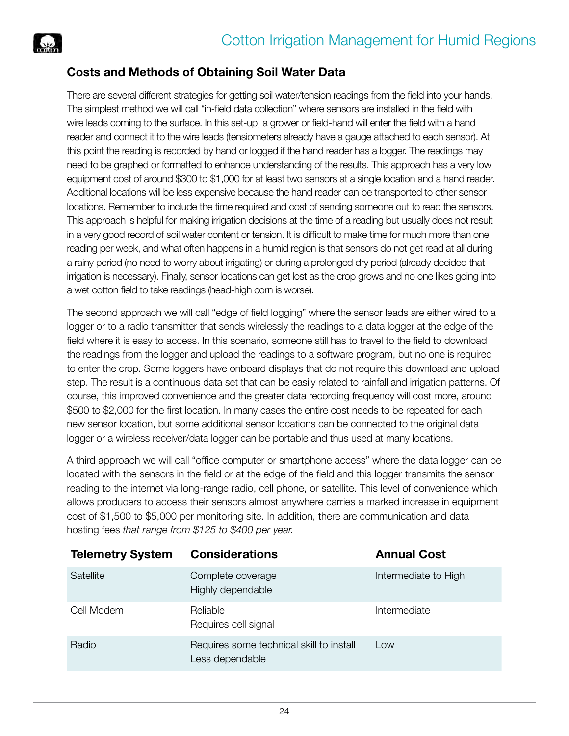

### **Costs and Methods of Obtaining Soil Water Data**

There are several different strategies for getting soil water/tension readings from the field into your hands. The simplest method we will call "in-field data collection" where sensors are installed in the field with wire leads coming to the surface. In this set-up, a grower or field-hand will enter the field with a hand reader and connect it to the wire leads (tensiometers already have a gauge attached to each sensor). At this point the reading is recorded by hand or logged if the hand reader has a logger. The readings may need to be graphed or formatted to enhance understanding of the results. This approach has a very low equipment cost of around \$300 to \$1,000 for at least two sensors at a single location and a hand reader. Additional locations will be less expensive because the hand reader can be transported to other sensor locations. Remember to include the time required and cost of sending someone out to read the sensors. This approach is helpful for making irrigation decisions at the time of a reading but usually does not result in a very good record of soil water content or tension. It is difficult to make time for much more than one reading per week, and what often happens in a humid region is that sensors do not get read at all during a rainy period (no need to worry about irrigating) or during a prolonged dry period (already decided that irrigation is necessary). Finally, sensor locations can get lost as the crop grows and no one likes going into a wet cotton field to take readings (head-high corn is worse).

The second approach we will call "edge of field logging" where the sensor leads are either wired to a logger or to a radio transmitter that sends wirelessly the readings to a data logger at the edge of the field where it is easy to access. In this scenario, someone still has to travel to the field to download the readings from the logger and upload the readings to a software program, but no one is required to enter the crop. Some loggers have onboard displays that do not require this download and upload step. The result is a continuous data set that can be easily related to rainfall and irrigation patterns. Of course, this improved convenience and the greater data recording frequency will cost more, around \$500 to \$2,000 for the first location. In many cases the entire cost needs to be repeated for each new sensor location, but some additional sensor locations can be connected to the original data logger or a wireless receiver/data logger can be portable and thus used at many locations.

A third approach we will call "office computer or smartphone access" where the data logger can be located with the sensors in the field or at the edge of the field and this logger transmits the sensor reading to the internet via long-range radio, cell phone, or satellite. This level of convenience which allows producers to access their sensors almost anywhere carries a marked increase in equipment cost of \$1,500 to \$5,000 per monitoring site. In addition, there are communication and data hosting fees *that range from \$125 to \$400 per year.*

| <b>Telemetry System</b> | <b>Considerations</b>                                       | <b>Annual Cost</b>   |
|-------------------------|-------------------------------------------------------------|----------------------|
| Satellite               | Complete coverage<br>Highly dependable                      | Intermediate to High |
| Cell Modem              | Reliable<br>Requires cell signal                            | Intermediate         |
| Radio                   | Requires some technical skill to install<br>Less dependable | Low                  |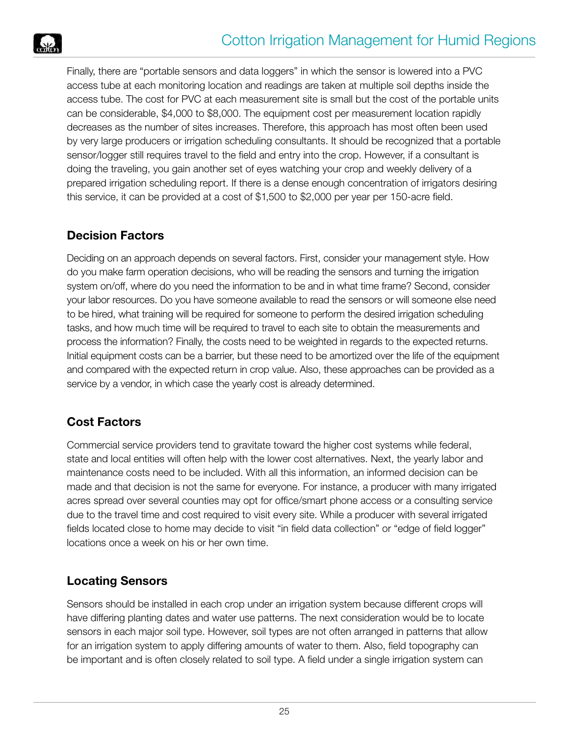Finally, there are "portable sensors and data loggers" in which the sensor is lowered into a PVC access tube at each monitoring location and readings are taken at multiple soil depths inside the access tube. The cost for PVC at each measurement site is small but the cost of the portable units can be considerable, \$4,000 to \$8,000. The equipment cost per measurement location rapidly decreases as the number of sites increases. Therefore, this approach has most often been used by very large producers or irrigation scheduling consultants. It should be recognized that a portable sensor/logger still requires travel to the field and entry into the crop. However, if a consultant is doing the traveling, you gain another set of eyes watching your crop and weekly delivery of a prepared irrigation scheduling report. If there is a dense enough concentration of irrigators desiring this service, it can be provided at a cost of \$1,500 to \$2,000 per year per 150-acre field.

# **Decision Factors**

Deciding on an approach depends on several factors. First, consider your management style. How do you make farm operation decisions, who will be reading the sensors and turning the irrigation system on/off, where do you need the information to be and in what time frame? Second, consider your labor resources. Do you have someone available to read the sensors or will someone else need to be hired, what training will be required for someone to perform the desired irrigation scheduling tasks, and how much time will be required to travel to each site to obtain the measurements and process the information? Finally, the costs need to be weighted in regards to the expected returns. Initial equipment costs can be a barrier, but these need to be amortized over the life of the equipment and compared with the expected return in crop value. Also, these approaches can be provided as a service by a vendor, in which case the yearly cost is already determined.

# **Cost Factors**

Commercial service providers tend to gravitate toward the higher cost systems while federal, state and local entities will often help with the lower cost alternatives. Next, the yearly labor and maintenance costs need to be included. With all this information, an informed decision can be made and that decision is not the same for everyone. For instance, a producer with many irrigated acres spread over several counties may opt for office/smart phone access or a consulting service due to the travel time and cost required to visit every site. While a producer with several irrigated fields located close to home may decide to visit "in field data collection" or "edge of field logger" locations once a week on his or her own time.

# **Locating Sensors**

Sensors should be installed in each crop under an irrigation system because different crops will have differing planting dates and water use patterns. The next consideration would be to locate sensors in each major soil type. However, soil types are not often arranged in patterns that allow for an irrigation system to apply differing amounts of water to them. Also, field topography can be important and is often closely related to soil type. A field under a single irrigation system can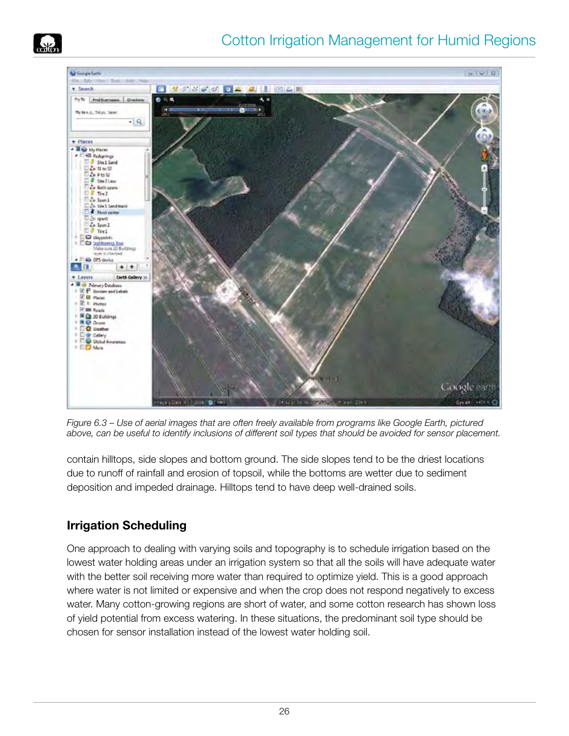



*Figure 6.3 – Use of aerial images that are often freely available from programs like Google Earth, pictured above, can be useful to identify inclusions of different soil types that should be avoided for sensor placement.*

contain hilltops, side slopes and bottom ground. The side slopes tend to be the driest locations due to runoff of rainfall and erosion of topsoil, while the bottoms are wetter due to sediment deposition and impeded drainage. Hilltops tend to have deep well-drained soils.

# **Irrigation Scheduling**

One approach to dealing with varying soils and topography is to schedule irrigation based on the lowest water holding areas under an irrigation system so that all the soils will have adequate water with the better soil receiving more water than required to optimize yield. This is a good approach where water is not limited or expensive and when the crop does not respond negatively to excess water. Many cotton-growing regions are short of water, and some cotton research has shown loss of yield potential from excess watering. In these situations, the predominant soil type should be chosen for sensor installation instead of the lowest water holding soil.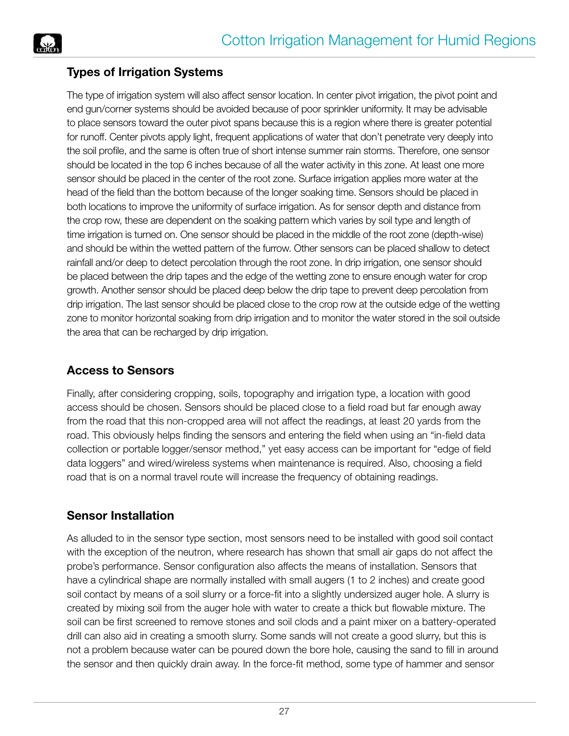



The type of irrigation system will also affect sensor location. In center pivot irrigation, the pivot point and end gun/corner systems should be avoided because of poor sprinkler uniformity. It may be advisable to place sensors toward the outer pivot spans because this is a region where there is greater potential for runoff. Center pivots apply light, frequent applications of water that don't penetrate very deeply into the soil profile, and the same is often true of short intense summer rain storms. Therefore, one sensor should be located in the top 6 inches because of all the water activity in this zone. At least one more sensor should be placed in the center of the root zone. Surface irrigation applies more water at the head of the field than the bottom because of the longer soaking time. Sensors should be placed in both locations to improve the uniformity of surface irrigation. As for sensor depth and distance from the crop row, these are dependent on the soaking pattern which varies by soil type and length of time irrigation is turned on. One sensor should be placed in the middle of the root zone (depth-wise) and should be within the wetted pattern of the furrow. Other sensors can be placed shallow to detect rainfall and/or deep to detect percolation through the root zone. In drip irrigation, one sensor should be placed between the drip tapes and the edge of the wetting zone to ensure enough water for crop growth. Another sensor should be placed deep below the drip tape to prevent deep percolation from drip irrigation. The last sensor should be placed close to the crop row at the outside edge of the wetting zone to monitor horizontal soaking from drip irrigation and to monitor the water stored in the soil outside the area that can be recharged by drip irrigation.

#### **Access to Sensors**

Finally, after considering cropping, soils, topography and irrigation type, a location with good access should be chosen. Sensors should be placed close to a field road but far enough away from the road that this non-cropped area will not affect the readings, at least 20 yards from the road. This obviously helps finding the sensors and entering the field when using an "in-field data collection or portable logger/sensor method," yet easy access can be important for "edge of field data loggers" and wired/wireless systems when maintenance is required. Also, choosing a field road that is on a normal travel route will increase the frequency of obtaining readings.

#### **Sensor Installation**

As alluded to in the sensor type section, most sensors need to be installed with good soil contact with the exception of the neutron, where research has shown that small air gaps do not affect the probe's performance. Sensor configuration also affects the means of installation. Sensors that have a cylindrical shape are normally installed with small augers (1 to 2 inches) and create good soil contact by means of a soil slurry or a force-fit into a slightly undersized auger hole. A slurry is created by mixing soil from the auger hole with water to create a thick but flowable mixture. The soil can be first screened to remove stones and soil clods and a paint mixer on a battery-operated drill can also aid in creating a smooth slurry. Some sands will not create a good slurry, but this is not a problem because water can be poured down the bore hole, causing the sand to fill in around the sensor and then quickly drain away. In the force-fit method, some type of hammer and sensor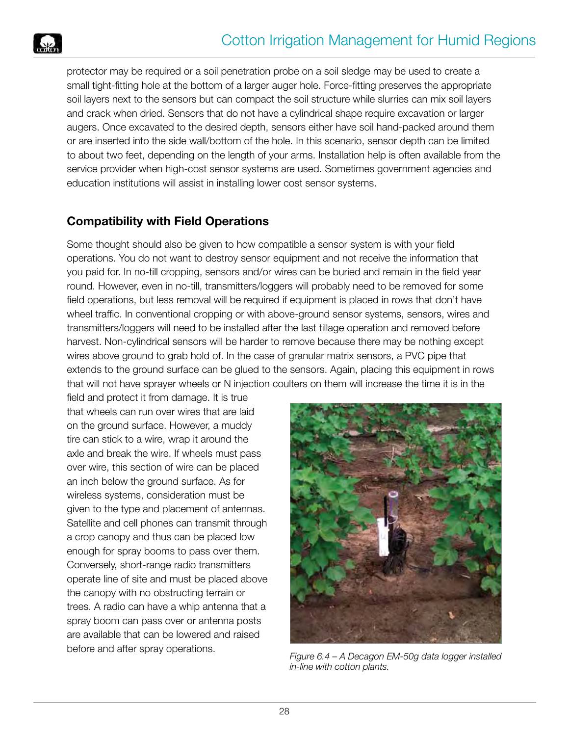

protector may be required or a soil penetration probe on a soil sledge may be used to create a small tight-fitting hole at the bottom of a larger auger hole. Force-fitting preserves the appropriate soil layers next to the sensors but can compact the soil structure while slurries can mix soil layers and crack when dried. Sensors that do not have a cylindrical shape require excavation or larger augers. Once excavated to the desired depth, sensors either have soil hand-packed around them or are inserted into the side wall/bottom of the hole. In this scenario, sensor depth can be limited to about two feet, depending on the length of your arms. Installation help is often available from the service provider when high-cost sensor systems are used. Sometimes government agencies and education institutions will assist in installing lower cost sensor systems.

# **Compatibility with Field Operations**

Some thought should also be given to how compatible a sensor system is with your field operations. You do not want to destroy sensor equipment and not receive the information that you paid for. In no-till cropping, sensors and/or wires can be buried and remain in the field year round. However, even in no-till, transmitters/loggers will probably need to be removed for some field operations, but less removal will be required if equipment is placed in rows that don't have wheel traffic. In conventional cropping or with above-ground sensor systems, sensors, wires and transmitters/loggers will need to be installed after the last tillage operation and removed before harvest. Non-cylindrical sensors will be harder to remove because there may be nothing except wires above ground to grab hold of. In the case of granular matrix sensors, a PVC pipe that extends to the ground surface can be glued to the sensors. Again, placing this equipment in rows that will not have sprayer wheels or N injection coulters on them will increase the time it is in the

field and protect it from damage. It is true that wheels can run over wires that are laid on the ground surface. However, a muddy tire can stick to a wire, wrap it around the axle and break the wire. If wheels must pass over wire, this section of wire can be placed an inch below the ground surface. As for wireless systems, consideration must be given to the type and placement of antennas. Satellite and cell phones can transmit through a crop canopy and thus can be placed low enough for spray booms to pass over them. Conversely, short-range radio transmitters operate line of site and must be placed above the canopy with no obstructing terrain or trees. A radio can have a whip antenna that a spray boom can pass over or antenna posts are available that can be lowered and raised



before and after spray operations.<br>*Figure 6.4 – A Decagon EM-50g data logger installed in-line with cotton plants.*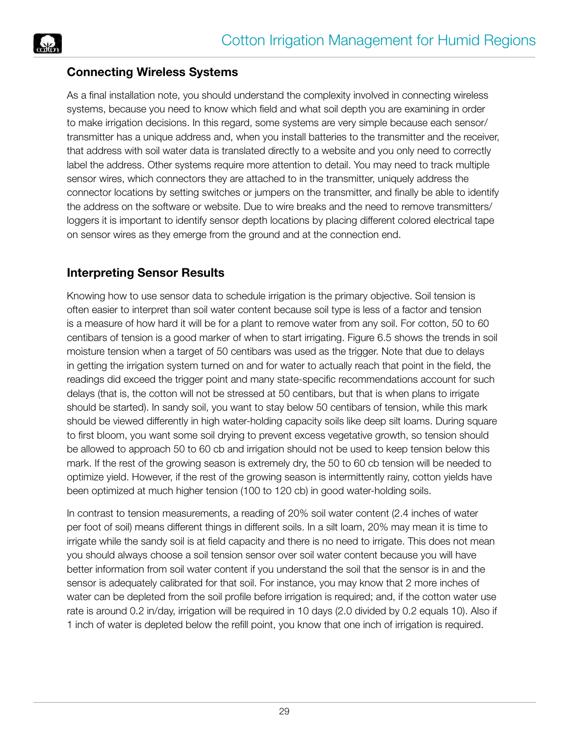

#### **Connecting Wireless Systems**

As a final installation note, you should understand the complexity involved in connecting wireless systems, because you need to know which field and what soil depth you are examining in order to make irrigation decisions. In this regard, some systems are very simple because each sensor/ transmitter has a unique address and, when you install batteries to the transmitter and the receiver, that address with soil water data is translated directly to a website and you only need to correctly label the address. Other systems require more attention to detail. You may need to track multiple sensor wires, which connectors they are attached to in the transmitter, uniquely address the connector locations by setting switches or jumpers on the transmitter, and finally be able to identify the address on the software or website. Due to wire breaks and the need to remove transmitters/ loggers it is important to identify sensor depth locations by placing different colored electrical tape on sensor wires as they emerge from the ground and at the connection end.

### **Interpreting Sensor Results**

Knowing how to use sensor data to schedule irrigation is the primary objective. Soil tension is often easier to interpret than soil water content because soil type is less of a factor and tension is a measure of how hard it will be for a plant to remove water from any soil. For cotton, 50 to 60 centibars of tension is a good marker of when to start irrigating. Figure 6.5 shows the trends in soil moisture tension when a target of 50 centibars was used as the trigger. Note that due to delays in getting the irrigation system turned on and for water to actually reach that point in the field, the readings did exceed the trigger point and many state-specific recommendations account for such delays (that is, the cotton will not be stressed at 50 centibars, but that is when plans to irrigate should be started). In sandy soil, you want to stay below 50 centibars of tension, while this mark should be viewed differently in high water-holding capacity soils like deep silt loams. During square to first bloom, you want some soil drying to prevent excess vegetative growth, so tension should be allowed to approach 50 to 60 cb and irrigation should not be used to keep tension below this mark. If the rest of the growing season is extremely dry, the 50 to 60 cb tension will be needed to optimize yield. However, if the rest of the growing season is intermittently rainy, cotton yields have been optimized at much higher tension (100 to 120 cb) in good water-holding soils.

In contrast to tension measurements, a reading of 20% soil water content (2.4 inches of water per foot of soil) means different things in different soils. In a silt loam, 20% may mean it is time to irrigate while the sandy soil is at field capacity and there is no need to irrigate. This does not mean you should always choose a soil tension sensor over soil water content because you will have better information from soil water content if you understand the soil that the sensor is in and the sensor is adequately calibrated for that soil. For instance, you may know that 2 more inches of water can be depleted from the soil profile before irrigation is required; and, if the cotton water use rate is around 0.2 in/day, irrigation will be required in 10 days (2.0 divided by 0.2 equals 10). Also if 1 inch of water is depleted below the refill point, you know that one inch of irrigation is required.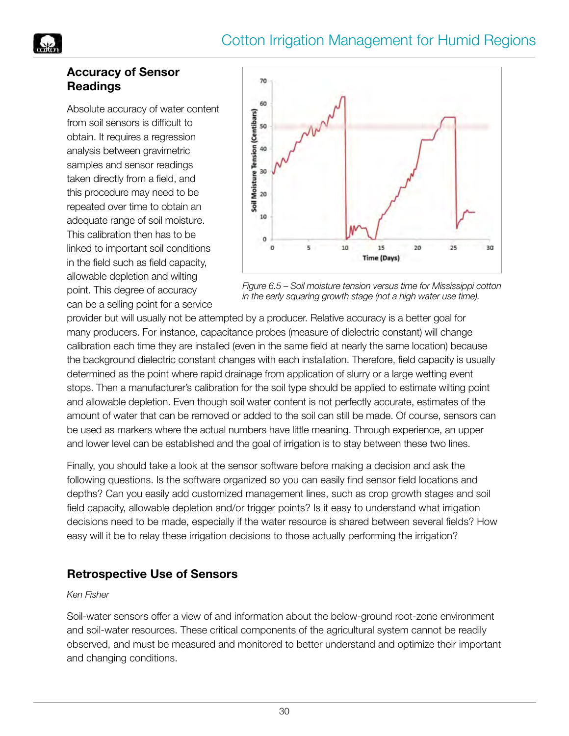# Cotton Irrigation Management for Humid Regions



#### **Accuracy of Sensor Readings**

Absolute accuracy of water content from soil sensors is difficult to obtain. It requires a regression analysis between gravimetric samples and sensor readings taken directly from a field, and this procedure may need to be repeated over time to obtain an adequate range of soil moisture. This calibration then has to be linked to important soil conditions in the field such as field capacity, allowable depletion and wilting point. This degree of accuracy can be a selling point for a service



*Figure 6.5 – Soil moisture tension versus time for Mississippi cotton in the early squaring growth stage (not a high water use time).*

provider but will usually not be attempted by a producer. Relative accuracy is a better goal for many producers. For instance, capacitance probes (measure of dielectric constant) will change calibration each time they are installed (even in the same field at nearly the same location) because the background dielectric constant changes with each installation. Therefore, field capacity is usually determined as the point where rapid drainage from application of slurry or a large wetting event stops. Then a manufacturer's calibration for the soil type should be applied to estimate wilting point and allowable depletion. Even though soil water content is not perfectly accurate, estimates of the amount of water that can be removed or added to the soil can still be made. Of course, sensors can be used as markers where the actual numbers have little meaning. Through experience, an upper and lower level can be established and the goal of irrigation is to stay between these two lines.

Finally, you should take a look at the sensor software before making a decision and ask the following questions. Is the software organized so you can easily find sensor field locations and depths? Can you easily add customized management lines, such as crop growth stages and soil field capacity, allowable depletion and/or trigger points? Is it easy to understand what irrigation decisions need to be made, especially if the water resource is shared between several fields? How easy will it be to relay these irrigation decisions to those actually performing the irrigation?

#### **Retrospective Use of Sensors**

#### *Ken Fisher*

Soil-water sensors offer a view of and information about the below-ground root-zone environment and soil-water resources. These critical components of the agricultural system cannot be readily observed, and must be measured and monitored to better understand and optimize their important and changing conditions.